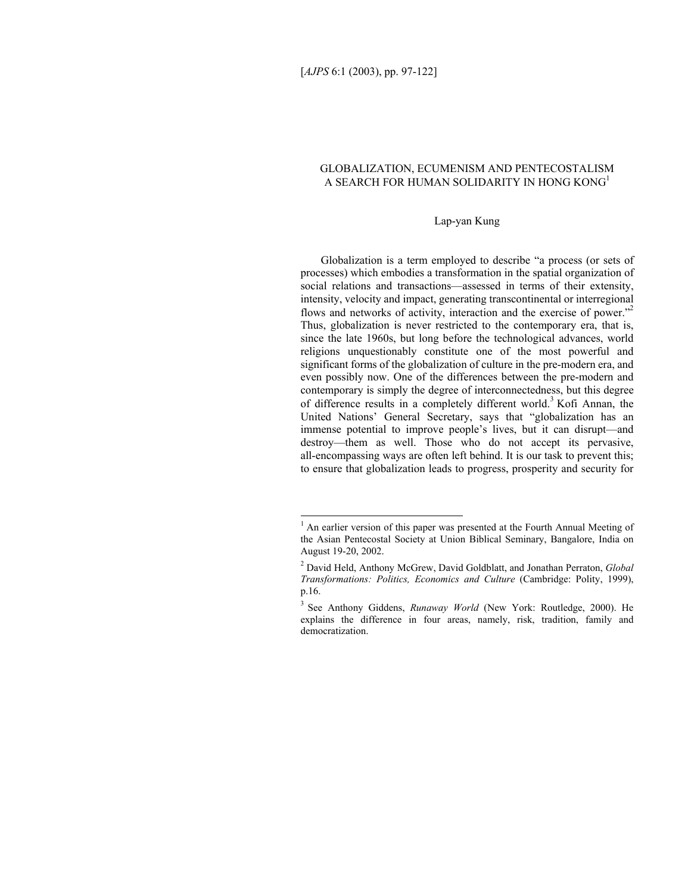l

# GLOBALIZATION, ECUMENISM AND PENTECOSTALISM A SEARCH FOR HUMAN SOLIDARITY IN HONG KONG<sup>1</sup>

### Lap-yan Kung

Globalization is a term employed to describe "a process (or sets of processes) which embodies a transformation in the spatial organization of social relations and transactions—assessed in terms of their extensity, intensity, velocity and impact, generating transcontinental or interregional flows and networks of activity, interaction and the exercise of power.<sup>"2</sup> Thus, globalization is never restricted to the contemporary era, that is, since the late 1960s, but long before the technological advances, world religions unquestionably constitute one of the most powerful and significant forms of the globalization of culture in the pre-modern era, and even possibly now. One of the differences between the pre-modern and contemporary is simply the degree of interconnectedness, but this degree of difference results in a completely different world.<sup>3</sup> Kofi Annan, the United Nations' General Secretary, says that "globalization has an immense potential to improve people's lives, but it can disrupt—and destroy—them as well. Those who do not accept its pervasive, all-encompassing ways are often left behind. It is our task to prevent this; to ensure that globalization leads to progress, prosperity and security for

<sup>&</sup>lt;sup>1</sup> An earlier version of this paper was presented at the Fourth Annual Meeting of the Asian Pentecostal Society at Union Biblical Seminary, Bangalore, India on August 19-20, 2002.

<sup>2</sup> David Held, Anthony McGrew, David Goldblatt, and Jonathan Perraton, *Global Transformations: Politics, Economics and Culture* (Cambridge: Polity, 1999), p.16.

<sup>3</sup> See Anthony Giddens, *Runaway World* (New York: Routledge, 2000). He explains the difference in four areas, namely, risk, tradition, family and democratization.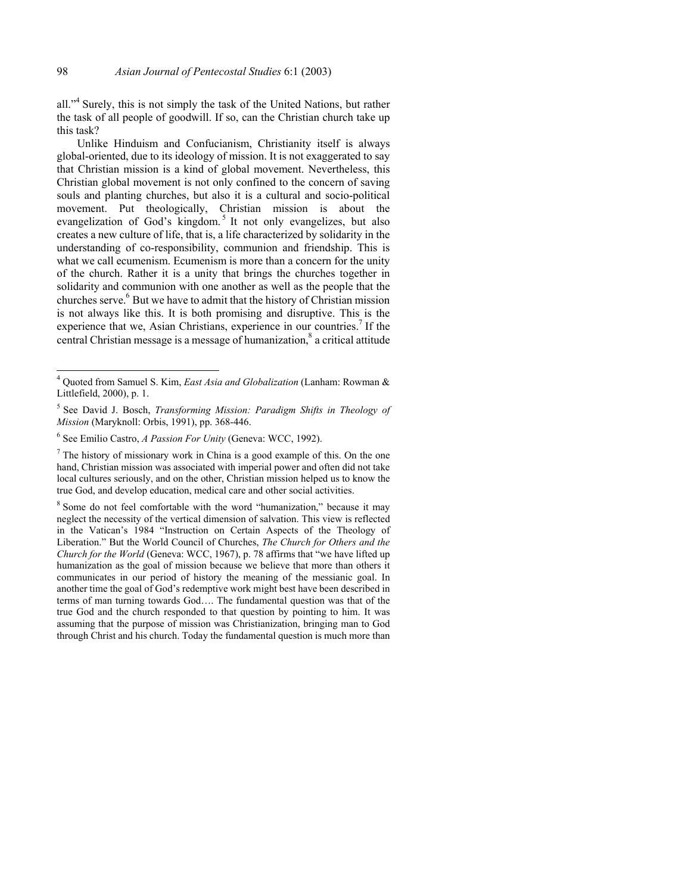all."<sup>4</sup> Surely, this is not simply the task of the United Nations, but rather the task of all people of goodwill. If so, can the Christian church take up this task?

Unlike Hinduism and Confucianism, Christianity itself is always global-oriented, due to its ideology of mission. It is not exaggerated to say that Christian mission is a kind of global movement. Nevertheless, this Christian global movement is not only confined to the concern of saving souls and planting churches, but also it is a cultural and socio-political movement. Put theologically, Christian mission is about the evangelization of God's kingdom.<sup>5</sup> It not only evangelizes, but also creates a new culture of life, that is, a life characterized by solidarity in the understanding of co-responsibility, communion and friendship. This is what we call ecumenism. Ecumenism is more than a concern for the unity of the church. Rather it is a unity that brings the churches together in solidarity and communion with one another as well as the people that the churches serve.<sup>6</sup> But we have to admit that the history of Christian mission is not always like this. It is both promising and disruptive. This is the experience that we, Asian Christians, experience in our countries.<sup>7</sup> If the central Christian message is a message of humanization,<sup>8</sup> a critical attitude

l

 $<sup>7</sup>$  The history of missionary work in China is a good example of this. On the one</sup> hand, Christian mission was associated with imperial power and often did not take local cultures seriously, and on the other, Christian mission helped us to know the true God, and develop education, medical care and other social activities.

<sup>8</sup> Some do not feel comfortable with the word "humanization," because it may neglect the necessity of the vertical dimension of salvation. This view is reflected in the Vatican's 1984 "Instruction on Certain Aspects of the Theology of Liberation." But the World Council of Churches, *The Church for Others and the Church for the World* (Geneva: WCC, 1967), p. 78 affirms that "we have lifted up humanization as the goal of mission because we believe that more than others it communicates in our period of history the meaning of the messianic goal. In another time the goal of God's redemptive work might best have been described in terms of man turning towards God…. The fundamental question was that of the true God and the church responded to that question by pointing to him. It was assuming that the purpose of mission was Christianization, bringing man to God through Christ and his church. Today the fundamental question is much more than

<sup>4</sup> Quoted from Samuel S. Kim, *East Asia and Globalization* (Lanham: Rowman & Littlefield, 2000), p. 1.

<sup>5</sup> See David J. Bosch, *Transforming Mission: Paradigm Shifts in Theology of Mission* (Maryknoll: Orbis, 1991), pp. 368-446.

<sup>6</sup> See Emilio Castro, *A Passion For Unity* (Geneva: WCC, 1992).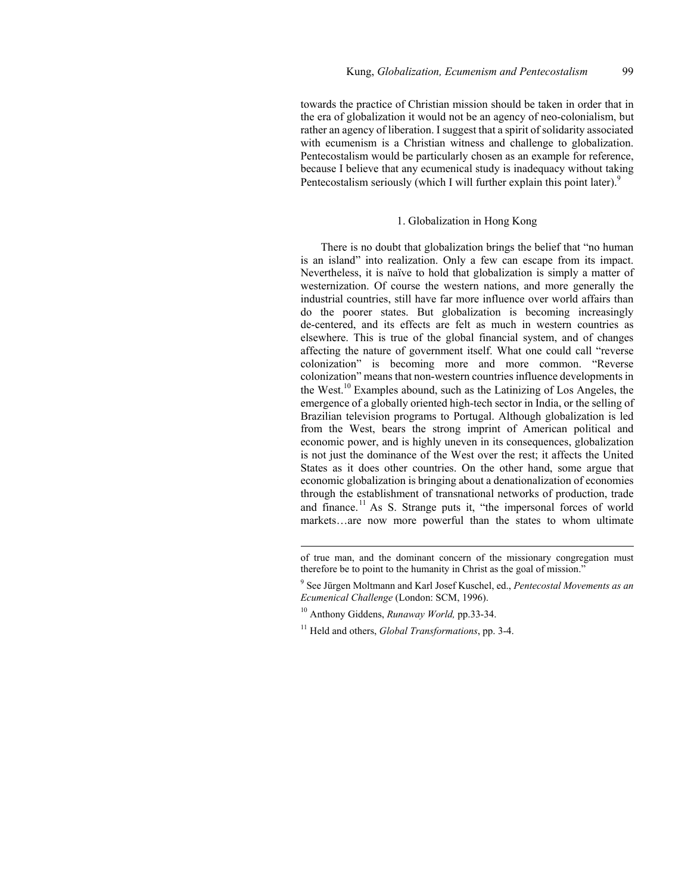towards the practice of Christian mission should be taken in order that in the era of globalization it would not be an agency of neo-colonialism, but rather an agency of liberation. I suggest that a spirit of solidarity associated with ecumenism is a Christian witness and challenge to globalization. Pentecostalism would be particularly chosen as an example for reference, because I believe that any ecumenical study is inadequacy without taking Pentecostalism seriously (which I will further explain this point later).<sup>9</sup>

### 1. Globalization in Hong Kong

There is no doubt that globalization brings the belief that "no human is an island" into realization. Only a few can escape from its impact. Nevertheless, it is naïve to hold that globalization is simply a matter of westernization. Of course the western nations, and more generally the industrial countries, still have far more influence over world affairs than do the poorer states. But globalization is becoming increasingly de-centered, and its effects are felt as much in western countries as elsewhere. This is true of the global financial system, and of changes affecting the nature of government itself. What one could call "reverse colonization" is becoming more and more common. "Reverse colonization" means that non-western countries influence developments in the West.10 Examples abound, such as the Latinizing of Los Angeles, the emergence of a globally oriented high-tech sector in India, or the selling of Brazilian television programs to Portugal. Although globalization is led from the West, bears the strong imprint of American political and economic power, and is highly uneven in its consequences, globalization is not just the dominance of the West over the rest; it affects the United States as it does other countries. On the other hand, some argue that economic globalization is bringing about a denationalization of economies through the establishment of transnational networks of production, trade and finance.<sup>11</sup> As S. Strange puts it, "the impersonal forces of world markets…are now more powerful than the states to whom ultimate

of true man, and the dominant concern of the missionary congregation must therefore be to point to the humanity in Christ as the goal of mission."

<sup>9</sup> See Jürgen Moltmann and Karl Josef Kuschel, ed., *Pentecostal Movements as an Ecumenical Challenge* (London: SCM, 1996).

<sup>10</sup> Anthony Giddens, *Runaway World,* pp.33-34.

<sup>11</sup> Held and others, *Global Transformations*, pp. 3-4.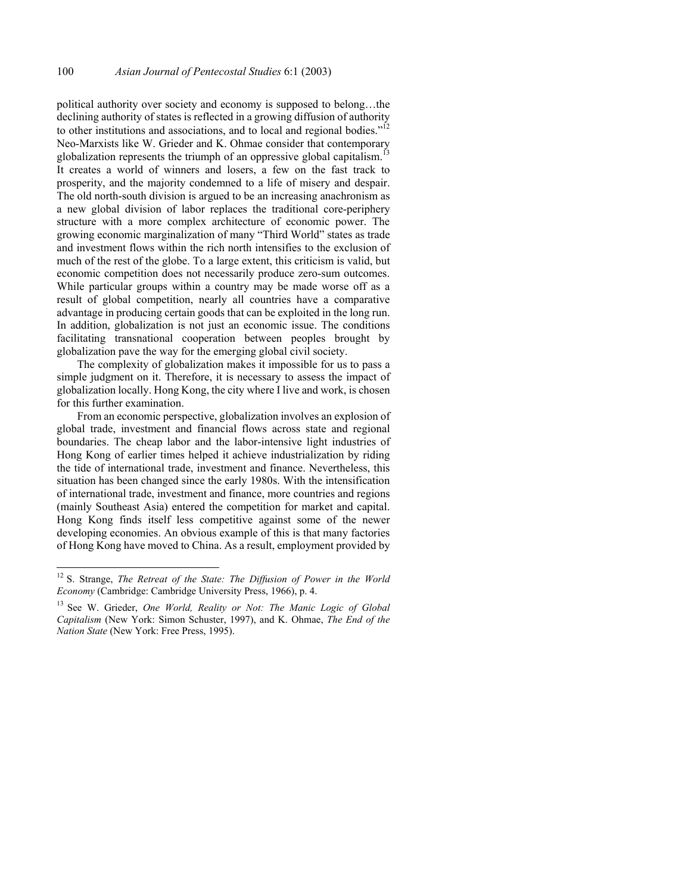political authority over society and economy is supposed to belong…the declining authority of states is reflected in a growing diffusion of authority to other institutions and associations, and to local and regional bodies. $1^{12}$ Neo-Marxists like W. Grieder and K. Ohmae consider that contemporary globalization represents the triumph of an oppressive global capitalism.<sup>1</sup> It creates a world of winners and losers, a few on the fast track to prosperity, and the majority condemned to a life of misery and despair. The old north-south division is argued to be an increasing anachronism as a new global division of labor replaces the traditional core-periphery structure with a more complex architecture of economic power. The growing economic marginalization of many "Third World" states as trade and investment flows within the rich north intensifies to the exclusion of much of the rest of the globe. To a large extent, this criticism is valid, but economic competition does not necessarily produce zero-sum outcomes. While particular groups within a country may be made worse off as a result of global competition, nearly all countries have a comparative advantage in producing certain goods that can be exploited in the long run. In addition, globalization is not just an economic issue. The conditions facilitating transnational cooperation between peoples brought by globalization pave the way for the emerging global civil society.

The complexity of globalization makes it impossible for us to pass a simple judgment on it. Therefore, it is necessary to assess the impact of globalization locally. Hong Kong, the city where I live and work, is chosen for this further examination.

From an economic perspective, globalization involves an explosion of global trade, investment and financial flows across state and regional boundaries. The cheap labor and the labor-intensive light industries of Hong Kong of earlier times helped it achieve industrialization by riding the tide of international trade, investment and finance. Nevertheless, this situation has been changed since the early 1980s. With the intensification of international trade, investment and finance, more countries and regions (mainly Southeast Asia) entered the competition for market and capital. Hong Kong finds itself less competitive against some of the newer developing economies. An obvious example of this is that many factories of Hong Kong have moved to China. As a result, employment provided by

<sup>&</sup>lt;sup>12</sup> S. Strange, *The Retreat of the State: The Diffusion of Power in the World Economy* (Cambridge: Cambridge University Press, 1966), p. 4.

<sup>13</sup> See W. Grieder, *One World, Reality or Not: The Manic Logic of Global Capitalism* (New York: Simon Schuster, 1997), and K. Ohmae, *The End of the Nation State* (New York: Free Press, 1995).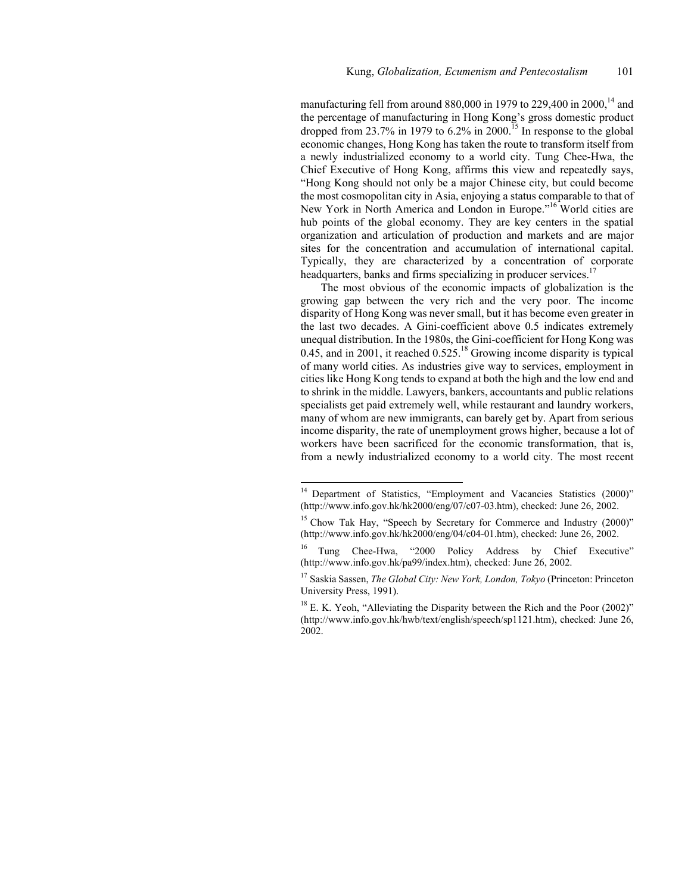manufacturing fell from around 880,000 in 1979 to 229,400 in 2000,<sup>14</sup> and the percentage of manufacturing in Hong Kong's gross domestic product dropped from 23.7% in 1979 to  $6.2\%$  in 2000.<sup>15</sup> In response to the global economic changes, Hong Kong has taken the route to transform itself from a newly industrialized economy to a world city. Tung Chee-Hwa, the Chief Executive of Hong Kong, affirms this view and repeatedly says, "Hong Kong should not only be a major Chinese city, but could become the most cosmopolitan city in Asia, enjoying a status comparable to that of New York in North America and London in Europe."16 World cities are hub points of the global economy. They are key centers in the spatial organization and articulation of production and markets and are major sites for the concentration and accumulation of international capital. Typically, they are characterized by a concentration of corporate headquarters, banks and firms specializing in producer services.<sup>17</sup>

The most obvious of the economic impacts of globalization is the growing gap between the very rich and the very poor. The income disparity of Hong Kong was never small, but it has become even greater in the last two decades. A Gini-coefficient above 0.5 indicates extremely unequal distribution. In the 1980s, the Gini-coefficient for Hong Kong was 0.45, and in 2001, it reached  $0.525$ .<sup>18</sup> Growing income disparity is typical of many world cities. As industries give way to services, employment in cities like Hong Kong tends to expand at both the high and the low end and to shrink in the middle. Lawyers, bankers, accountants and public relations specialists get paid extremely well, while restaurant and laundry workers, many of whom are new immigrants, can barely get by. Apart from serious income disparity, the rate of unemployment grows higher, because a lot of workers have been sacrificed for the economic transformation, that is, from a newly industrialized economy to a world city. The most recent

<sup>&</sup>lt;sup>14</sup> Department of Statistics, "Employment and Vacancies Statistics (2000)" (http://www.info.gov.hk/hk2000/eng/07/c07-03.htm), checked: June 26, 2002.

 $15$  Chow Tak Hay, "Speech by Secretary for Commerce and Industry (2000)" (http://www.info.gov.hk/hk2000/eng/04/c04-01.htm), checked: June 26, 2002.

Tung Chee-Hwa, "2000 Policy Address by Chief Executive" (http://www.info.gov.hk/pa99/index.htm), checked: June 26, 2002.

<sup>17</sup> Saskia Sassen, *The Global City: New York, London, Tokyo* (Princeton: Princeton University Press, 1991).

<sup>&</sup>lt;sup>18</sup> E. K. Yeoh, "Alleviating the Disparity between the Rich and the Poor (2002)" (http://www.info.gov.hk/hwb/text/english/speech/sp1121.htm), checked: June 26, 2002.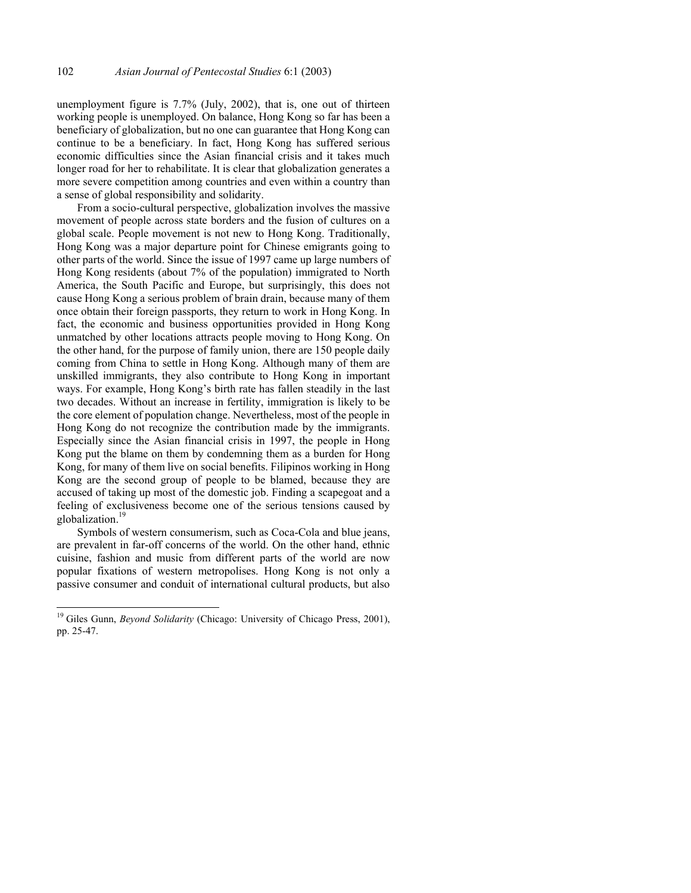unemployment figure is 7.7% (July, 2002), that is, one out of thirteen working people is unemployed. On balance, Hong Kong so far has been a beneficiary of globalization, but no one can guarantee that Hong Kong can continue to be a beneficiary. In fact, Hong Kong has suffered serious economic difficulties since the Asian financial crisis and it takes much longer road for her to rehabilitate. It is clear that globalization generates a more severe competition among countries and even within a country than a sense of global responsibility and solidarity.

From a socio-cultural perspective, globalization involves the massive movement of people across state borders and the fusion of cultures on a global scale. People movement is not new to Hong Kong. Traditionally, Hong Kong was a major departure point for Chinese emigrants going to other parts of the world. Since the issue of 1997 came up large numbers of Hong Kong residents (about 7% of the population) immigrated to North America, the South Pacific and Europe, but surprisingly, this does not cause Hong Kong a serious problem of brain drain, because many of them once obtain their foreign passports, they return to work in Hong Kong. In fact, the economic and business opportunities provided in Hong Kong unmatched by other locations attracts people moving to Hong Kong. On the other hand, for the purpose of family union, there are 150 people daily coming from China to settle in Hong Kong. Although many of them are unskilled immigrants, they also contribute to Hong Kong in important ways. For example, Hong Kong's birth rate has fallen steadily in the last two decades. Without an increase in fertility, immigration is likely to be the core element of population change. Nevertheless, most of the people in Hong Kong do not recognize the contribution made by the immigrants. Especially since the Asian financial crisis in 1997, the people in Hong Kong put the blame on them by condemning them as a burden for Hong Kong, for many of them live on social benefits. Filipinos working in Hong Kong are the second group of people to be blamed, because they are accused of taking up most of the domestic job. Finding a scapegoat and a feeling of exclusiveness become one of the serious tensions caused by globalization.<sup>19</sup>

Symbols of western consumerism, such as Coca-Cola and blue jeans, are prevalent in far-off concerns of the world. On the other hand, ethnic cuisine, fashion and music from different parts of the world are now popular fixations of western metropolises. Hong Kong is not only a passive consumer and conduit of international cultural products, but also

<sup>&</sup>lt;sup>19</sup> Giles Gunn, *Beyond Solidarity* (Chicago: University of Chicago Press, 2001), pp. 25-47.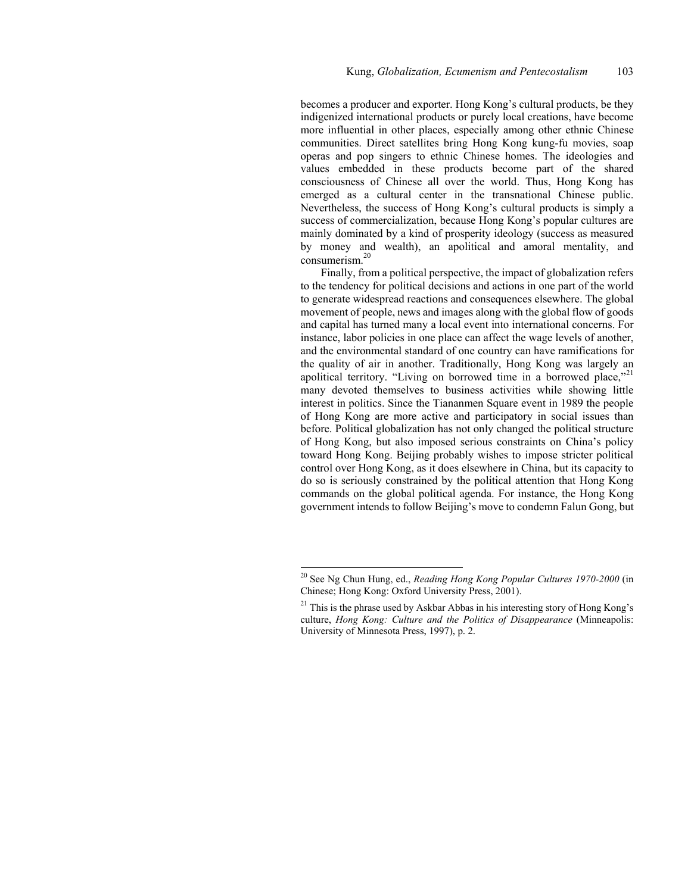becomes a producer and exporter. Hong Kong's cultural products, be they indigenized international products or purely local creations, have become more influential in other places, especially among other ethnic Chinese communities. Direct satellites bring Hong Kong kung-fu movies, soap operas and pop singers to ethnic Chinese homes. The ideologies and values embedded in these products become part of the shared consciousness of Chinese all over the world. Thus, Hong Kong has emerged as a cultural center in the transnational Chinese public. Nevertheless, the success of Hong Kong's cultural products is simply a success of commercialization, because Hong Kong's popular cultures are mainly dominated by a kind of prosperity ideology (success as measured by money and wealth), an apolitical and amoral mentality, and consumerism.20

Finally, from a political perspective, the impact of globalization refers to the tendency for political decisions and actions in one part of the world to generate widespread reactions and consequences elsewhere. The global movement of people, news and images along with the global flow of goods and capital has turned many a local event into international concerns. For instance, labor policies in one place can affect the wage levels of another, and the environmental standard of one country can have ramifications for the quality of air in another. Traditionally, Hong Kong was largely an apolitical territory. "Living on borrowed time in a borrowed place,"<sup>21</sup> many devoted themselves to business activities while showing little interest in politics. Since the Tiananmen Square event in 1989 the people of Hong Kong are more active and participatory in social issues than before. Political globalization has not only changed the political structure of Hong Kong, but also imposed serious constraints on China's policy toward Hong Kong. Beijing probably wishes to impose stricter political control over Hong Kong, as it does elsewhere in China, but its capacity to do so is seriously constrained by the political attention that Hong Kong commands on the global political agenda. For instance, the Hong Kong government intends to follow Beijing's move to condemn Falun Gong, but

<sup>20</sup> See Ng Chun Hung, ed., *Reading Hong Kong Popular Cultures 1970-2000* (in Chinese; Hong Kong: Oxford University Press, 2001).

 $21$  This is the phrase used by Askbar Abbas in his interesting story of Hong Kong's culture, *Hong Kong: Culture and the Politics of Disappearance* (Minneapolis: University of Minnesota Press, 1997), p. 2.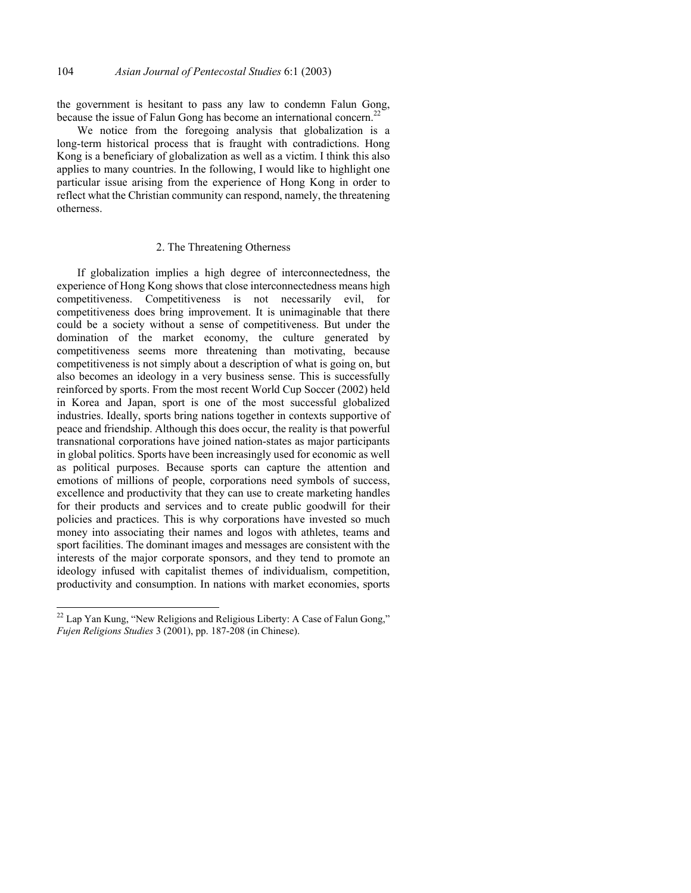the government is hesitant to pass any law to condemn Falun Gong, because the issue of Falun Gong has become an international concern.<sup>22</sup>

We notice from the foregoing analysis that globalization is a long-term historical process that is fraught with contradictions. Hong Kong is a beneficiary of globalization as well as a victim. I think this also applies to many countries. In the following, I would like to highlight one particular issue arising from the experience of Hong Kong in order to reflect what the Christian community can respond, namely, the threatening otherness.

## 2. The Threatening Otherness

If globalization implies a high degree of interconnectedness, the experience of Hong Kong shows that close interconnectedness means high competitiveness. Competitiveness is not necessarily evil, for competitiveness does bring improvement. It is unimaginable that there could be a society without a sense of competitiveness. But under the domination of the market economy, the culture generated by competitiveness seems more threatening than motivating, because competitiveness is not simply about a description of what is going on, but also becomes an ideology in a very business sense. This is successfully reinforced by sports. From the most recent World Cup Soccer (2002) held in Korea and Japan, sport is one of the most successful globalized industries. Ideally, sports bring nations together in contexts supportive of peace and friendship. Although this does occur, the reality is that powerful transnational corporations have joined nation-states as major participants in global politics. Sports have been increasingly used for economic as well as political purposes. Because sports can capture the attention and emotions of millions of people, corporations need symbols of success, excellence and productivity that they can use to create marketing handles for their products and services and to create public goodwill for their policies and practices. This is why corporations have invested so much money into associating their names and logos with athletes, teams and sport facilities. The dominant images and messages are consistent with the interests of the major corporate sponsors, and they tend to promote an ideology infused with capitalist themes of individualism, competition, productivity and consumption. In nations with market economies, sports

 $^{22}$  Lap Yan Kung, "New Religions and Religious Liberty: A Case of Falun Gong," *Fujen Religions Studies* 3 (2001), pp. 187-208 (in Chinese).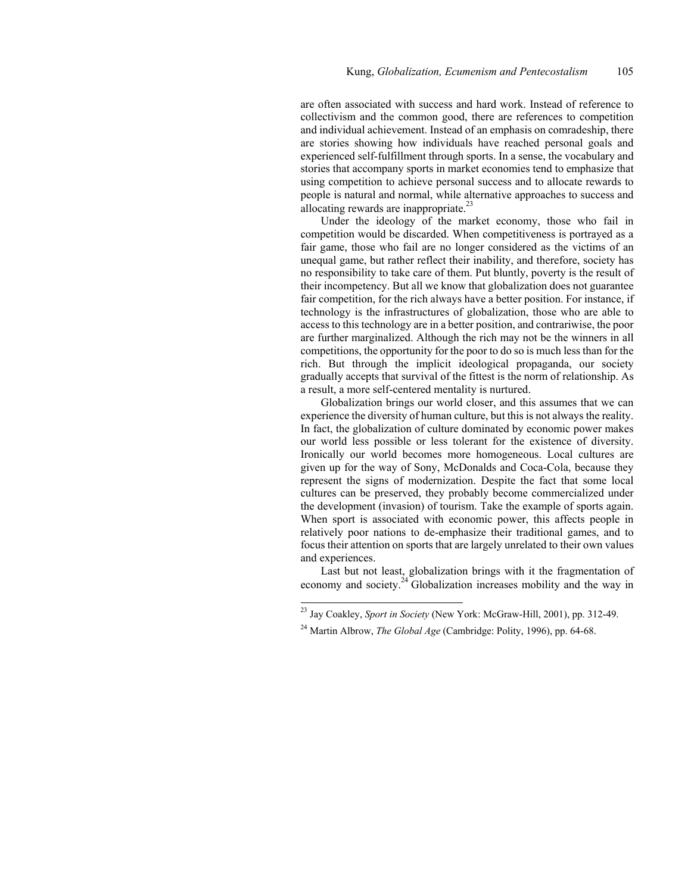are often associated with success and hard work. Instead of reference to collectivism and the common good, there are references to competition and individual achievement. Instead of an emphasis on comradeship, there are stories showing how individuals have reached personal goals and experienced self-fulfillment through sports. In a sense, the vocabulary and stories that accompany sports in market economies tend to emphasize that using competition to achieve personal success and to allocate rewards to people is natural and normal, while alternative approaches to success and allocating rewards are inappropriate.<sup>23</sup>

Under the ideology of the market economy, those who fail in competition would be discarded. When competitiveness is portrayed as a fair game, those who fail are no longer considered as the victims of an unequal game, but rather reflect their inability, and therefore, society has no responsibility to take care of them. Put bluntly, poverty is the result of their incompetency. But all we know that globalization does not guarantee fair competition, for the rich always have a better position. For instance, if technology is the infrastructures of globalization, those who are able to access to this technology are in a better position, and contrariwise, the poor are further marginalized. Although the rich may not be the winners in all competitions, the opportunity for the poor to do so is much less than for the rich. But through the implicit ideological propaganda, our society gradually accepts that survival of the fittest is the norm of relationship. As a result, a more self-centered mentality is nurtured.

Globalization brings our world closer, and this assumes that we can experience the diversity of human culture, but this is not always the reality. In fact, the globalization of culture dominated by economic power makes our world less possible or less tolerant for the existence of diversity. Ironically our world becomes more homogeneous. Local cultures are given up for the way of Sony, McDonalds and Coca-Cola, because they represent the signs of modernization. Despite the fact that some local cultures can be preserved, they probably become commercialized under the development (invasion) of tourism. Take the example of sports again. When sport is associated with economic power, this affects people in relatively poor nations to de-emphasize their traditional games, and to focus their attention on sports that are largely unrelated to their own values and experiences.

Last but not least, globalization brings with it the fragmentation of economy and society.<sup>24</sup> Globalization increases mobility and the way in

<sup>23</sup> Jay Coakley, *Sport in Society* (New York: McGraw-Hill, 2001), pp. 312-49.

<sup>&</sup>lt;sup>24</sup> Martin Albrow, *The Global Age* (Cambridge: Polity, 1996), pp. 64-68.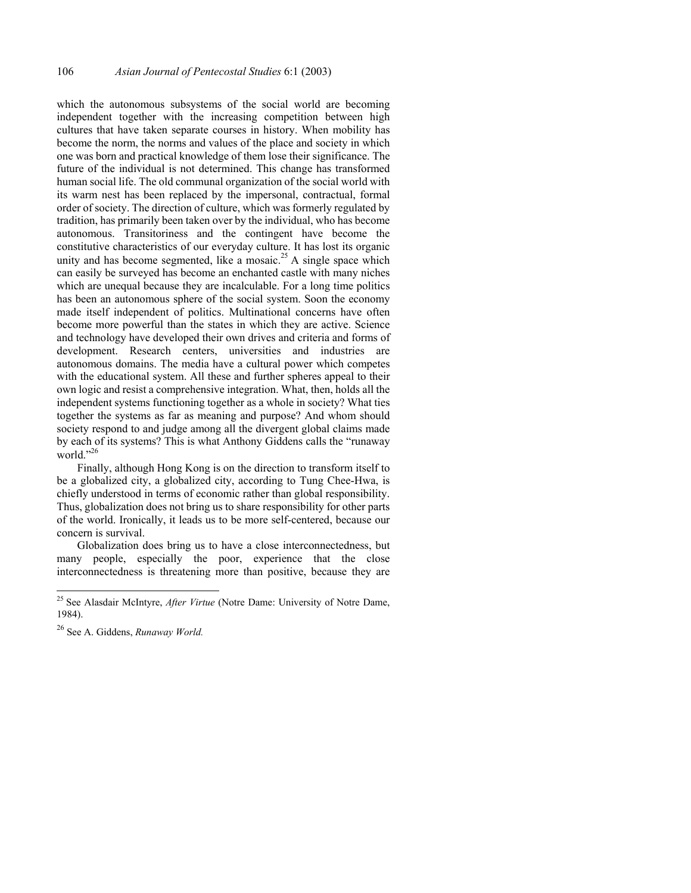which the autonomous subsystems of the social world are becoming independent together with the increasing competition between high cultures that have taken separate courses in history. When mobility has become the norm, the norms and values of the place and society in which one was born and practical knowledge of them lose their significance. The future of the individual is not determined. This change has transformed human social life. The old communal organization of the social world with its warm nest has been replaced by the impersonal, contractual, formal order of society. The direction of culture, which was formerly regulated by tradition, has primarily been taken over by the individual, who has become autonomous. Transitoriness and the contingent have become the constitutive characteristics of our everyday culture. It has lost its organic unity and has become segmented, like a mosaic.<sup>25</sup> A single space which can easily be surveyed has become an enchanted castle with many niches which are unequal because they are incalculable. For a long time politics has been an autonomous sphere of the social system. Soon the economy made itself independent of politics. Multinational concerns have often become more powerful than the states in which they are active. Science and technology have developed their own drives and criteria and forms of development. Research centers, universities and industries are autonomous domains. The media have a cultural power which competes with the educational system. All these and further spheres appeal to their own logic and resist a comprehensive integration. What, then, holds all the independent systems functioning together as a whole in society? What ties together the systems as far as meaning and purpose? And whom should society respond to and judge among all the divergent global claims made by each of its systems? This is what Anthony Giddens calls the "runaway world."26

Finally, although Hong Kong is on the direction to transform itself to be a globalized city, a globalized city, according to Tung Chee-Hwa, is chiefly understood in terms of economic rather than global responsibility. Thus, globalization does not bring us to share responsibility for other parts of the world. Ironically, it leads us to be more self-centered, because our concern is survival.

Globalization does bring us to have a close interconnectedness, but many people, especially the poor, experience that the close interconnectedness is threatening more than positive, because they are

<sup>25</sup> See Alasdair McIntyre, *After Virtue* (Notre Dame: University of Notre Dame, 1984).

<sup>26</sup> See A. Giddens, *Runaway World.*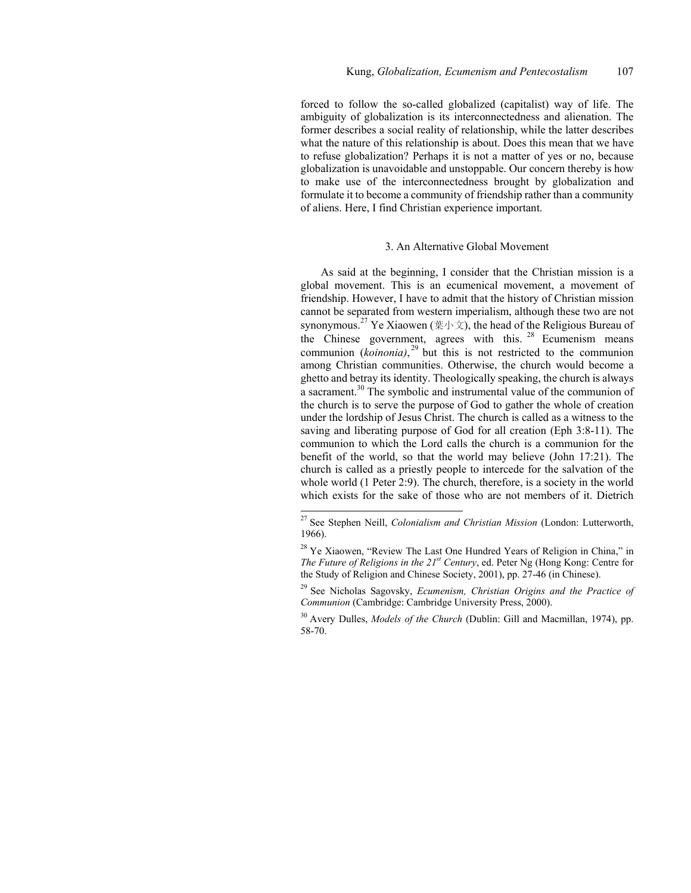forced to follow the so-called globalized (capitalist) way of life. The ambiguity of globalization is its interconnectedness and alienation. The former describes a social reality of relationship, while the latter describes what the nature of this relationship is about. Does this mean that we have to refuse globalization? Perhaps it is not a matter of yes or no, because globalization is unavoidable and unstoppable. Our concern thereby is how to make use of the interconnectedness brought by globalization and formulate it to become a community of friendship rather than a community of aliens. Here, I find Christian experience important.

#### 3. An Alternative Global Movement

As said at the beginning, I consider that the Christian mission is a global movement. This is an ecumenical movement, a movement of friendship. However, I have to admit that the history of Christian mission cannot be separated from western imperialism, although these two are not synonymous.<sup>27</sup> Ye Xiaowen (葉小文), the head of the Religious Bureau of the Chinese government, agrees with this.<sup>28</sup> Ecumenism means communion  $(koinonia)$ ,<sup>29</sup> but this is not restricted to the communion among Christian communities. Otherwise, the church would become a ghetto and betray its identity. Theologically speaking, the church is always a sacrament.30 The symbolic and instrumental value of the communion of the church is to serve the purpose of God to gather the whole of creation under the lordship of Jesus Christ. The church is called as a witness to the saving and liberating purpose of God for all creation (Eph 3:8-11). The communion to which the Lord calls the church is a communion for the benefit of the world, so that the world may believe (John 17:21). The church is called as a priestly people to intercede for the salvation of the whole world (1 Peter 2:9). The church, therefore, is a society in the world which exists for the sake of those who are not members of it. Dietrich

<sup>27</sup> See Stephen Neill, *Colonialism and Christian Mission* (London: Lutterworth, 1966).

<sup>&</sup>lt;sup>28</sup> Ye Xiaowen, "Review The Last One Hundred Years of Religion in China," in *The Future of Religions in the 21<sup>st</sup> Century*, ed. Peter Ng (Hong Kong: Centre for the Study of Religion and Chinese Society, 2001), pp. 27-46 (in Chinese).

<sup>29</sup> See Nicholas Sagovsky, *Ecumenism, Christian Origins and the Practice of Communion* (Cambridge: Cambridge University Press, 2000).

<sup>30</sup> Avery Dulles, *Models of the Church* (Dublin: Gill and Macmillan, 1974), pp. 58-70.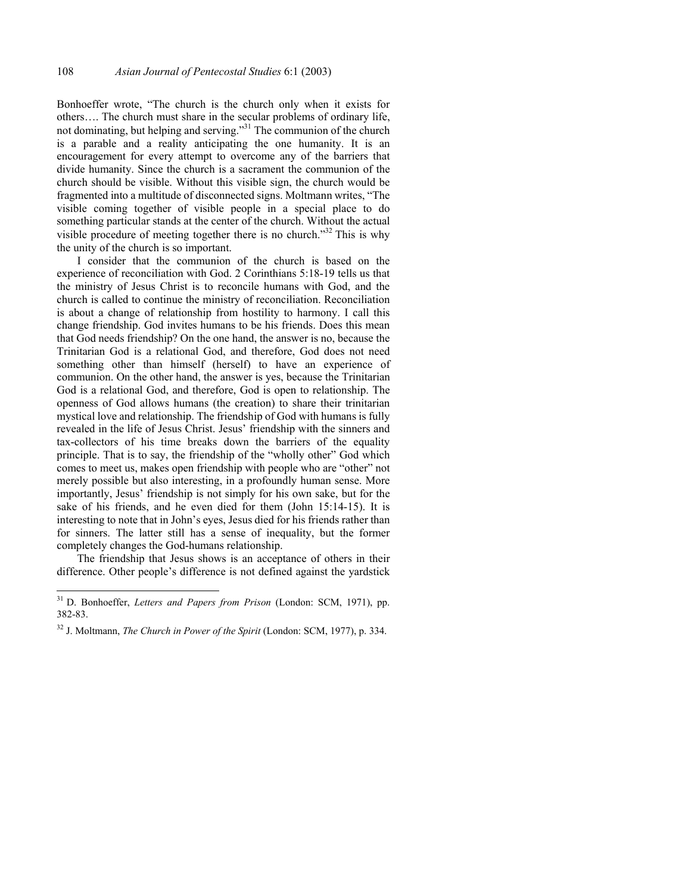Bonhoeffer wrote, "The church is the church only when it exists for others…. The church must share in the secular problems of ordinary life, not dominating, but helping and serving."31 The communion of the church is a parable and a reality anticipating the one humanity. It is an encouragement for every attempt to overcome any of the barriers that divide humanity. Since the church is a sacrament the communion of the church should be visible. Without this visible sign, the church would be fragmented into a multitude of disconnected signs. Moltmann writes, "The visible coming together of visible people in a special place to do something particular stands at the center of the church. Without the actual visible procedure of meeting together there is no church."<sup>32</sup> This is why the unity of the church is so important.

I consider that the communion of the church is based on the experience of reconciliation with God. 2 Corinthians 5:18-19 tells us that the ministry of Jesus Christ is to reconcile humans with God, and the church is called to continue the ministry of reconciliation. Reconciliation is about a change of relationship from hostility to harmony. I call this change friendship. God invites humans to be his friends. Does this mean that God needs friendship? On the one hand, the answer is no, because the Trinitarian God is a relational God, and therefore, God does not need something other than himself (herself) to have an experience of communion. On the other hand, the answer is yes, because the Trinitarian God is a relational God, and therefore, God is open to relationship. The openness of God allows humans (the creation) to share their trinitarian mystical love and relationship. The friendship of God with humans is fully revealed in the life of Jesus Christ. Jesus' friendship with the sinners and tax-collectors of his time breaks down the barriers of the equality principle. That is to say, the friendship of the "wholly other" God which comes to meet us, makes open friendship with people who are "other" not merely possible but also interesting, in a profoundly human sense. More importantly, Jesus' friendship is not simply for his own sake, but for the sake of his friends, and he even died for them (John 15:14-15). It is interesting to note that in John's eyes, Jesus died for his friends rather than for sinners. The latter still has a sense of inequality, but the former completely changes the God-humans relationship.

The friendship that Jesus shows is an acceptance of others in their difference. Other people's difference is not defined against the yardstick

<sup>31</sup> D. Bonhoeffer, *Letters and Papers from Prison* (London: SCM, 1971), pp. 382-83.

<sup>32</sup> J. Moltmann, *The Church in Power of the Spirit* (London: SCM, 1977), p. 334.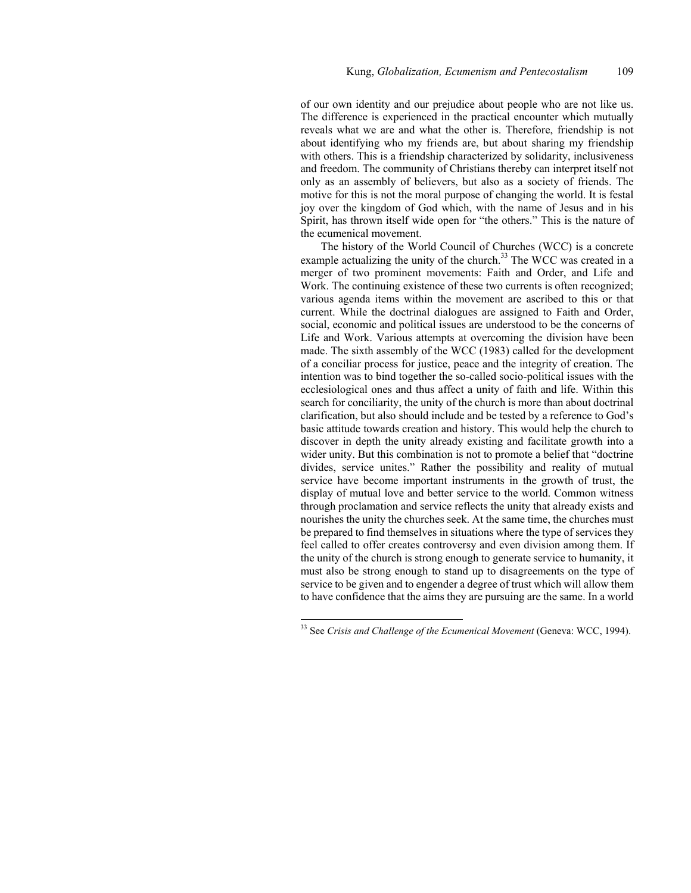of our own identity and our prejudice about people who are not like us. The difference is experienced in the practical encounter which mutually reveals what we are and what the other is. Therefore, friendship is not about identifying who my friends are, but about sharing my friendship with others. This is a friendship characterized by solidarity, inclusiveness and freedom. The community of Christians thereby can interpret itself not only as an assembly of believers, but also as a society of friends. The motive for this is not the moral purpose of changing the world. It is festal joy over the kingdom of God which, with the name of Jesus and in his Spirit, has thrown itself wide open for "the others." This is the nature of the ecumenical movement.

The history of the World Council of Churches (WCC) is a concrete example actualizing the unity of the church.<sup>33</sup> The WCC was created in a merger of two prominent movements: Faith and Order, and Life and Work. The continuing existence of these two currents is often recognized; various agenda items within the movement are ascribed to this or that current. While the doctrinal dialogues are assigned to Faith and Order, social, economic and political issues are understood to be the concerns of Life and Work. Various attempts at overcoming the division have been made. The sixth assembly of the WCC (1983) called for the development of a conciliar process for justice, peace and the integrity of creation. The intention was to bind together the so-called socio-political issues with the ecclesiological ones and thus affect a unity of faith and life. Within this search for conciliarity, the unity of the church is more than about doctrinal clarification, but also should include and be tested by a reference to God's basic attitude towards creation and history. This would help the church to discover in depth the unity already existing and facilitate growth into a wider unity. But this combination is not to promote a belief that "doctrine divides, service unites." Rather the possibility and reality of mutual service have become important instruments in the growth of trust, the display of mutual love and better service to the world. Common witness through proclamation and service reflects the unity that already exists and nourishes the unity the churches seek. At the same time, the churches must be prepared to find themselves in situations where the type of services they feel called to offer creates controversy and even division among them. If the unity of the church is strong enough to generate service to humanity, it must also be strong enough to stand up to disagreements on the type of service to be given and to engender a degree of trust which will allow them to have confidence that the aims they are pursuing are the same. In a world

<sup>33</sup> See *Crisis and Challenge of the Ecumenical Movement* (Geneva: WCC, 1994).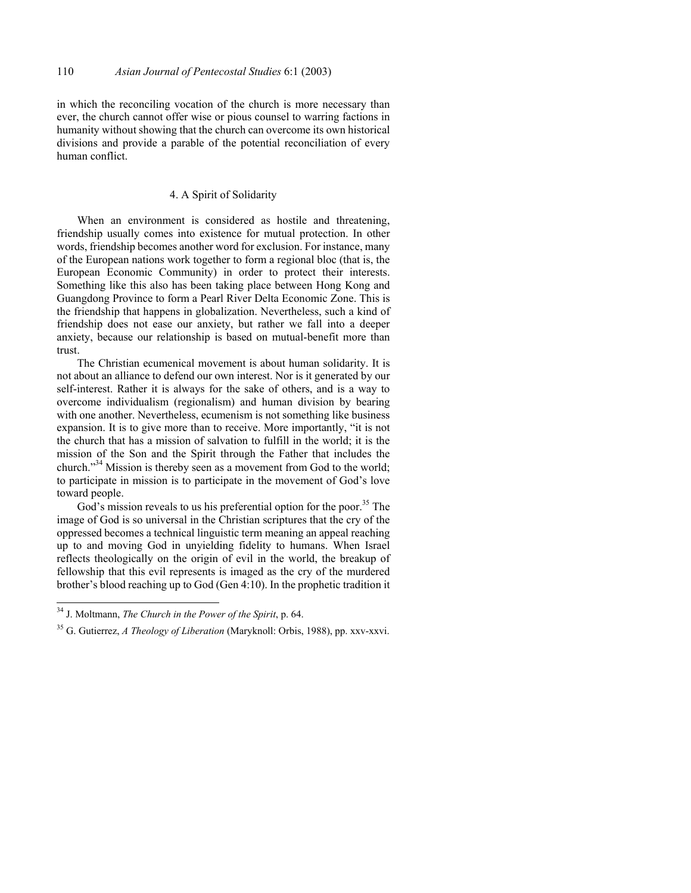in which the reconciling vocation of the church is more necessary than ever, the church cannot offer wise or pious counsel to warring factions in humanity without showing that the church can overcome its own historical divisions and provide a parable of the potential reconciliation of every human conflict.

# 4. A Spirit of Solidarity

When an environment is considered as hostile and threatening, friendship usually comes into existence for mutual protection. In other words, friendship becomes another word for exclusion. For instance, many of the European nations work together to form a regional bloc (that is, the European Economic Community) in order to protect their interests. Something like this also has been taking place between Hong Kong and Guangdong Province to form a Pearl River Delta Economic Zone. This is the friendship that happens in globalization. Nevertheless, such a kind of friendship does not ease our anxiety, but rather we fall into a deeper anxiety, because our relationship is based on mutual-benefit more than trust.

The Christian ecumenical movement is about human solidarity. It is not about an alliance to defend our own interest. Nor is it generated by our self-interest. Rather it is always for the sake of others, and is a way to overcome individualism (regionalism) and human division by bearing with one another. Nevertheless, ecumenism is not something like business expansion. It is to give more than to receive. More importantly, "it is not the church that has a mission of salvation to fulfill in the world; it is the mission of the Son and the Spirit through the Father that includes the church."34 Mission is thereby seen as a movement from God to the world; to participate in mission is to participate in the movement of God's love toward people.

God's mission reveals to us his preferential option for the poor.<sup>35</sup> The image of God is so universal in the Christian scriptures that the cry of the oppressed becomes a technical linguistic term meaning an appeal reaching up to and moving God in unyielding fidelity to humans. When Israel reflects theologically on the origin of evil in the world, the breakup of fellowship that this evil represents is imaged as the cry of the murdered brother's blood reaching up to God (Gen 4:10). In the prophetic tradition it

<sup>34</sup> J. Moltmann, *The Church in the Power of the Spirit*, p. 64.

<sup>35</sup> G. Gutierrez, *A Theology of Liberation* (Maryknoll: Orbis, 1988), pp. xxv-xxvi.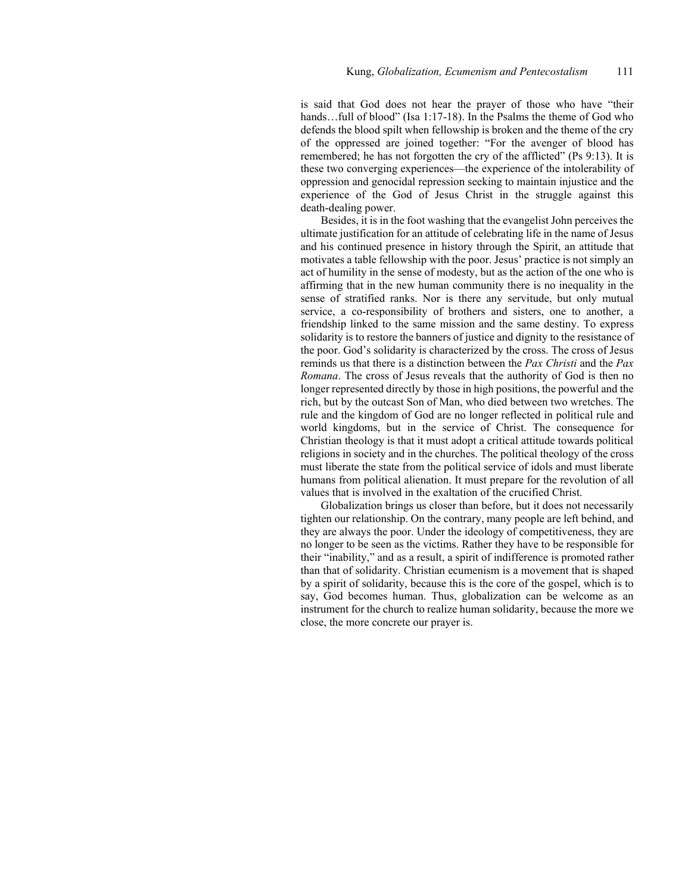is said that God does not hear the prayer of those who have "their hands...full of blood" (Isa 1:17-18). In the Psalms the theme of God who defends the blood spilt when fellowship is broken and the theme of the cry of the oppressed are joined together: "For the avenger of blood has remembered; he has not forgotten the cry of the afflicted" (Ps 9:13). It is these two converging experiences—the experience of the intolerability of oppression and genocidal repression seeking to maintain injustice and the experience of the God of Jesus Christ in the struggle against this death-dealing power.

Besides, it is in the foot washing that the evangelist John perceives the ultimate justification for an attitude of celebrating life in the name of Jesus and his continued presence in history through the Spirit, an attitude that motivates a table fellowship with the poor. Jesus' practice is not simply an act of humility in the sense of modesty, but as the action of the one who is affirming that in the new human community there is no inequality in the sense of stratified ranks. Nor is there any servitude, but only mutual service, a co-responsibility of brothers and sisters, one to another, a friendship linked to the same mission and the same destiny. To express solidarity is to restore the banners of justice and dignity to the resistance of the poor. God's solidarity is characterized by the cross. The cross of Jesus reminds us that there is a distinction between the *Pax Christi* and the *Pax Romana*. The cross of Jesus reveals that the authority of God is then no longer represented directly by those in high positions, the powerful and the rich, but by the outcast Son of Man, who died between two wretches. The rule and the kingdom of God are no longer reflected in political rule and world kingdoms, but in the service of Christ. The consequence for Christian theology is that it must adopt a critical attitude towards political religions in society and in the churches. The political theology of the cross must liberate the state from the political service of idols and must liberate humans from political alienation. It must prepare for the revolution of all values that is involved in the exaltation of the crucified Christ.

Globalization brings us closer than before, but it does not necessarily tighten our relationship. On the contrary, many people are left behind, and they are always the poor. Under the ideology of competitiveness, they are no longer to be seen as the victims. Rather they have to be responsible for their "inability," and as a result, a spirit of indifference is promoted rather than that of solidarity. Christian ecumenism is a movement that is shaped by a spirit of solidarity, because this is the core of the gospel, which is to say, God becomes human. Thus, globalization can be welcome as an instrument for the church to realize human solidarity, because the more we close, the more concrete our prayer is.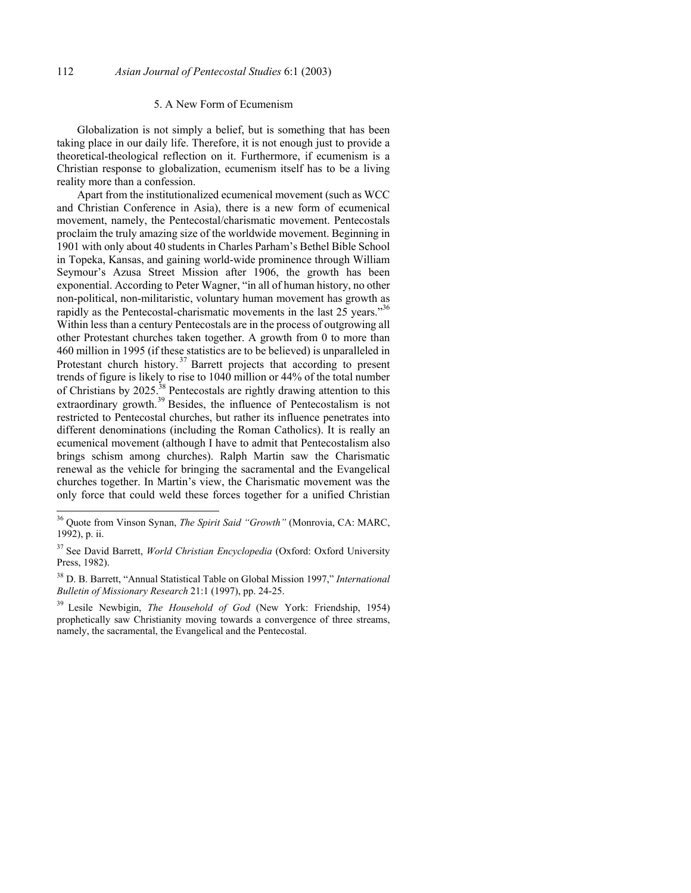#### 5. A New Form of Ecumenism

Globalization is not simply a belief, but is something that has been taking place in our daily life. Therefore, it is not enough just to provide a theoretical-theological reflection on it. Furthermore, if ecumenism is a Christian response to globalization, ecumenism itself has to be a living reality more than a confession.

Apart from the institutionalized ecumenical movement (such as WCC and Christian Conference in Asia), there is a new form of ecumenical movement, namely, the Pentecostal/charismatic movement. Pentecostals proclaim the truly amazing size of the worldwide movement. Beginning in 1901 with only about 40 students in Charles Parham's Bethel Bible School in Topeka, Kansas, and gaining world-wide prominence through William Seymour's Azusa Street Mission after 1906, the growth has been exponential. According to Peter Wagner, "in all of human history, no other non-political, non-militaristic, voluntary human movement has growth as rapidly as the Pentecostal-charismatic movements in the last 25 years."<sup>36</sup> Within less than a century Pentecostals are in the process of outgrowing all other Protestant churches taken together. A growth from 0 to more than 460 million in 1995 (if these statistics are to be believed) is unparalleled in Protestant church history.<sup>37</sup> Barrett projects that according to present trends of figure is likely to rise to 1040 million or 44% of the total number of Christians by 2025.<sup>38</sup> Pentecostals are rightly drawing attention to this extraordinary growth.<sup>39</sup> Besides, the influence of Pentecostalism is not restricted to Pentecostal churches, but rather its influence penetrates into different denominations (including the Roman Catholics). It is really an ecumenical movement (although I have to admit that Pentecostalism also brings schism among churches). Ralph Martin saw the Charismatic renewal as the vehicle for bringing the sacramental and the Evangelical churches together. In Martin's view, the Charismatic movement was the only force that could weld these forces together for a unified Christian

<sup>36</sup> Quote from Vinson Synan, *The Spirit Said "Growth"* (Monrovia, CA: MARC, 1992), p. ii.

<sup>37</sup> See David Barrett, *World Christian Encyclopedia* (Oxford: Oxford University Press, 1982).

<sup>38</sup> D. B. Barrett, "Annual Statistical Table on Global Mission 1997," *International Bulletin of Missionary Research* 21:1 (1997), pp. 24-25.

<sup>39</sup> Lesile Newbigin, *The Household of God* (New York: Friendship, 1954) prophetically saw Christianity moving towards a convergence of three streams, namely, the sacramental, the Evangelical and the Pentecostal.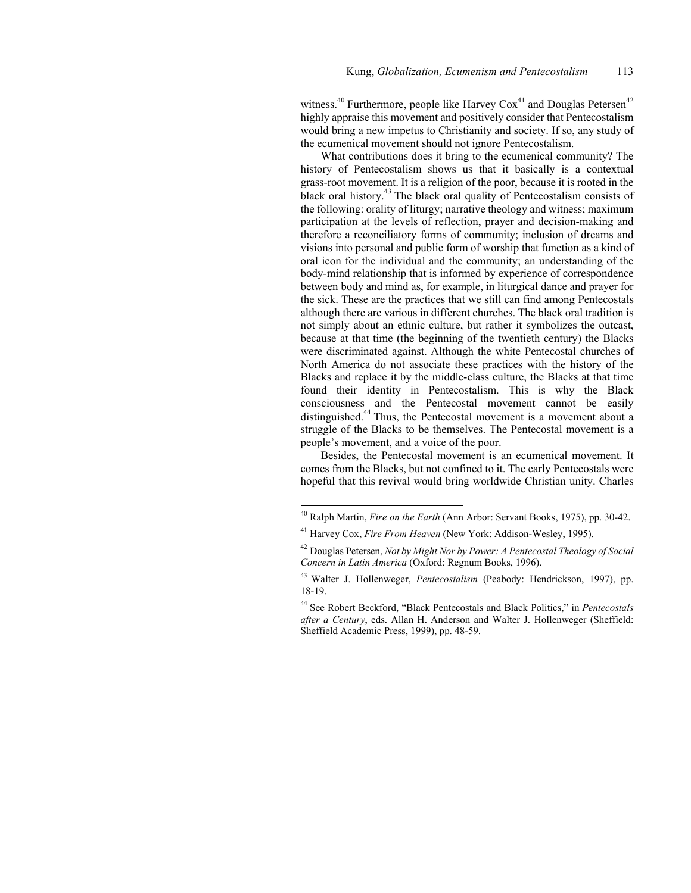witness.<sup>40</sup> Furthermore, people like Harvey  $\text{Cox}^{41}$  and Douglas Petersen<sup>42</sup> highly appraise this movement and positively consider that Pentecostalism would bring a new impetus to Christianity and society. If so, any study of the ecumenical movement should not ignore Pentecostalism.

What contributions does it bring to the ecumenical community? The history of Pentecostalism shows us that it basically is a contextual grass-root movement. It is a religion of the poor, because it is rooted in the black oral history.43 The black oral quality of Pentecostalism consists of the following: orality of liturgy; narrative theology and witness; maximum participation at the levels of reflection, prayer and decision-making and therefore a reconciliatory forms of community; inclusion of dreams and visions into personal and public form of worship that function as a kind of oral icon for the individual and the community; an understanding of the body-mind relationship that is informed by experience of correspondence between body and mind as, for example, in liturgical dance and prayer for the sick. These are the practices that we still can find among Pentecostals although there are various in different churches. The black oral tradition is not simply about an ethnic culture, but rather it symbolizes the outcast, because at that time (the beginning of the twentieth century) the Blacks were discriminated against. Although the white Pentecostal churches of North America do not associate these practices with the history of the Blacks and replace it by the middle-class culture, the Blacks at that time found their identity in Pentecostalism. This is why the Black consciousness and the Pentecostal movement cannot be easily distinguished.44 Thus, the Pentecostal movement is a movement about a struggle of the Blacks to be themselves. The Pentecostal movement is a people's movement, and a voice of the poor.

Besides, the Pentecostal movement is an ecumenical movement. It comes from the Blacks, but not confined to it. The early Pentecostals were hopeful that this revival would bring worldwide Christian unity. Charles

<sup>40</sup> Ralph Martin, *Fire on the Earth* (Ann Arbor: Servant Books, 1975), pp. 30-42.

<sup>41</sup> Harvey Cox, *Fire From Heaven* (New York: Addison-Wesley, 1995).

<sup>42</sup> Douglas Petersen, *Not by Might Nor by Power: A Pentecostal Theology of Social Concern in Latin America* (Oxford: Regnum Books, 1996).

<sup>43</sup> Walter J. Hollenweger, *Pentecostalism* (Peabody: Hendrickson, 1997), pp. 18-19.

<sup>44</sup> See Robert Beckford, "Black Pentecostals and Black Politics," in *Pentecostals after a Century*, eds. Allan H. Anderson and Walter J. Hollenweger (Sheffield: Sheffield Academic Press, 1999), pp. 48-59.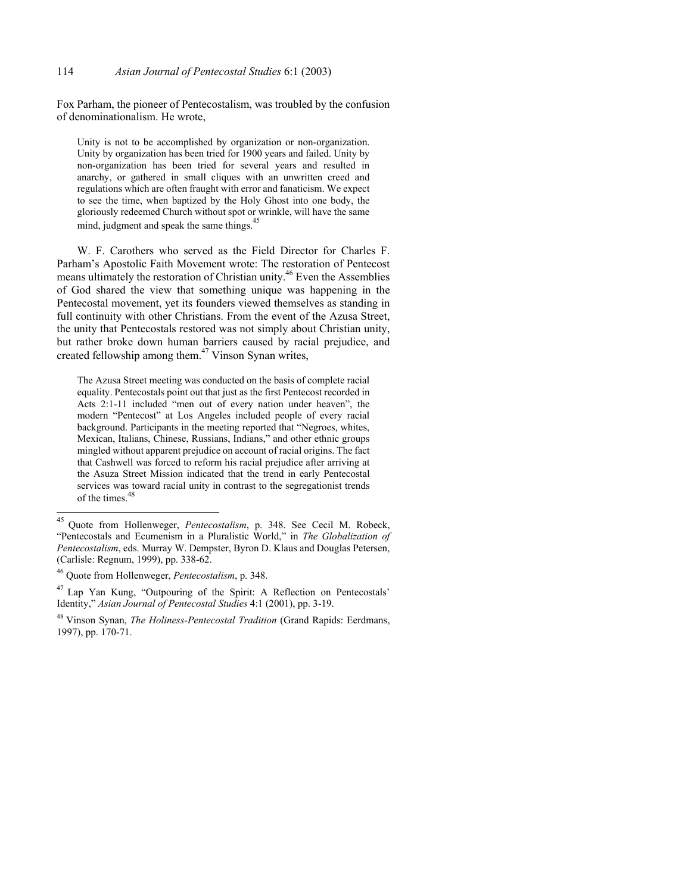Fox Parham, the pioneer of Pentecostalism, was troubled by the confusion of denominationalism. He wrote,

Unity is not to be accomplished by organization or non-organization. Unity by organization has been tried for 1900 years and failed. Unity by non-organization has been tried for several years and resulted in anarchy, or gathered in small cliques with an unwritten creed and regulations which are often fraught with error and fanaticism. We expect to see the time, when baptized by the Holy Ghost into one body, the gloriously redeemed Church without spot or wrinkle, will have the same mind, judgment and speak the same things.<sup>45</sup>

W. F. Carothers who served as the Field Director for Charles F. Parham's Apostolic Faith Movement wrote: The restoration of Pentecost means ultimately the restoration of Christian unity.46 Even the Assemblies of God shared the view that something unique was happening in the Pentecostal movement, yet its founders viewed themselves as standing in full continuity with other Christians. From the event of the Azusa Street, the unity that Pentecostals restored was not simply about Christian unity, but rather broke down human barriers caused by racial prejudice, and created fellowship among them.<sup>47</sup> Vinson Synan writes,

The Azusa Street meeting was conducted on the basis of complete racial equality. Pentecostals point out that just as the first Pentecost recorded in Acts 2:1-11 included "men out of every nation under heaven", the modern "Pentecost" at Los Angeles included people of every racial background. Participants in the meeting reported that "Negroes, whites, Mexican, Italians, Chinese, Russians, Indians," and other ethnic groups mingled without apparent prejudice on account of racial origins. The fact that Cashwell was forced to reform his racial prejudice after arriving at the Asuza Street Mission indicated that the trend in early Pentecostal services was toward racial unity in contrast to the segregationist trends of the times.<sup>48</sup>

<sup>45</sup> Quote from Hollenweger, *Pentecostalism*, p. 348. See Cecil M. Robeck, "Pentecostals and Ecumenism in a Pluralistic World," in *The Globalization of Pentecostalism*, eds. Murray W. Dempster, Byron D. Klaus and Douglas Petersen, (Carlisle: Regnum, 1999), pp. 338-62.

<sup>46</sup> Quote from Hollenweger, *Pentecostalism*, p. 348.

<sup>47</sup> Lap Yan Kung, "Outpouring of the Spirit: A Reflection on Pentecostals' Identity," *Asian Journal of Pentecostal Studies* 4:1 (2001), pp. 3-19.

<sup>48</sup> Vinson Synan, *The Holiness-Pentecostal Tradition* (Grand Rapids: Eerdmans, 1997), pp. 170-71.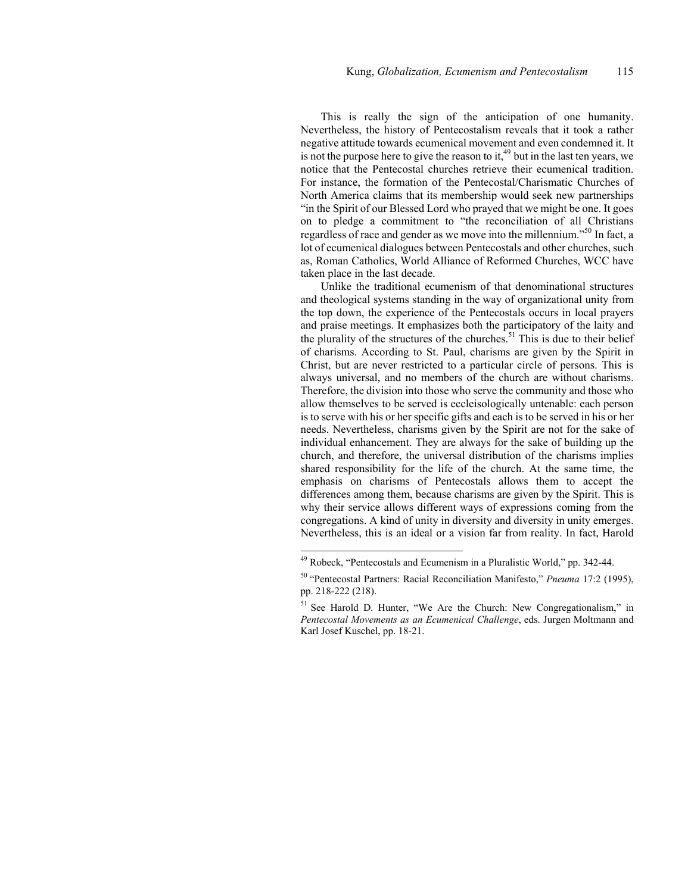This is really the sign of the anticipation of one humanity. Nevertheless, the history of Pentecostalism reveals that it took a rather negative attitude towards ecumenical movement and even condemned it. It is not the purpose here to give the reason to it,  $49$  but in the last ten years, we notice that the Pentecostal churches retrieve their ecumenical tradition. For instance, the formation of the Pentecostal/Charismatic Churches of North America claims that its membership would seek new partnerships "in the Spirit of our Blessed Lord who prayed that we might be one. It goes on to pledge a commitment to "the reconciliation of all Christians regardless of race and gender as we move into the millennium.<sup>50</sup> In fact, a lot of ecumenical dialogues between Pentecostals and other churches, such as, Roman Catholics, World Alliance of Reformed Churches, WCC have taken place in the last decade.

Unlike the traditional ecumenism of that denominational structures and theological systems standing in the way of organizational unity from the top down, the experience of the Pentecostals occurs in local prayers and praise meetings. It emphasizes both the participatory of the laity and the plurality of the structures of the churches.<sup>51</sup> This is due to their belief of charisms. According to St. Paul, charisms are given by the Spirit in Christ, but are never restricted to a particular circle of persons. This is always universal, and no members of the church are without charisms. Therefore, the division into those who serve the community and those who allow themselves to be served is eccleisologically untenable: each person is to serve with his or her specific gifts and each is to be served in his or her needs. Nevertheless, charisms given by the Spirit are not for the sake of individual enhancement. They are always for the sake of building up the church, and therefore, the universal distribution of the charisms implies shared responsibility for the life of the church. At the same time, the emphasis on charisms of Pentecostals allows them to accept the differences among them, because charisms are given by the Spirit. This is why their service allows different ways of expressions coming from the congregations. A kind of unity in diversity and diversity in unity emerges. Nevertheless, this is an ideal or a vision far from reality. In fact, Harold

<sup>49</sup> Robeck, "Pentecostals and Ecumenism in a Pluralistic World," pp. 342-44.

<sup>50 &</sup>quot;Pentecostal Partners: Racial Reconciliation Manifesto," *Pneuma* 17:2 (1995), pp. 218-222 (218).

<sup>&</sup>lt;sup>51</sup> See Harold D. Hunter, "We Are the Church: New Congregationalism," in *Pentecostal Movements as an Ecumenical Challenge*, eds. Jurgen Moltmann and Karl Josef Kuschel, pp. 18-21.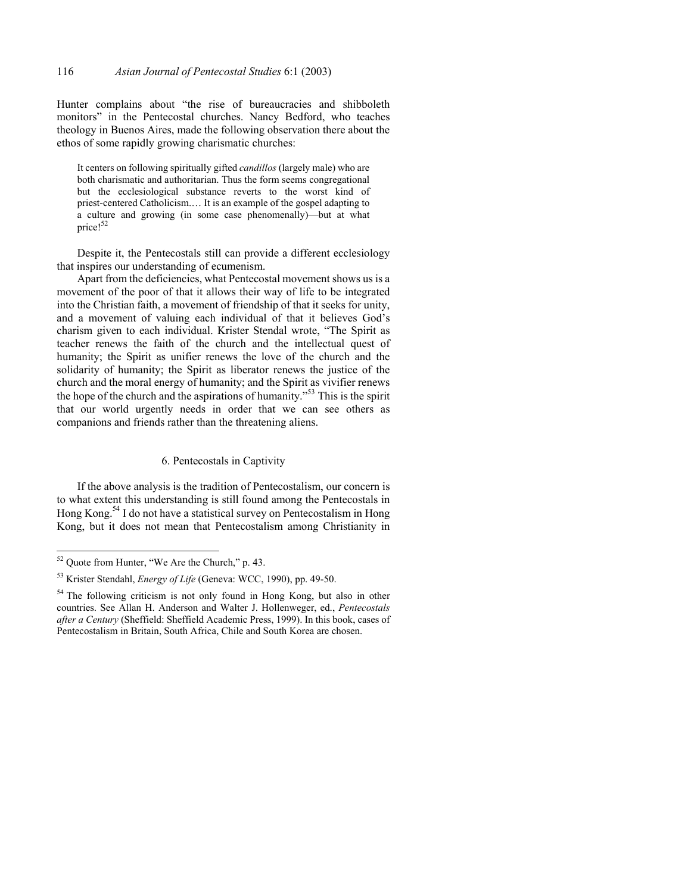Hunter complains about "the rise of bureaucracies and shibboleth monitors" in the Pentecostal churches. Nancy Bedford, who teaches theology in Buenos Aires, made the following observation there about the ethos of some rapidly growing charismatic churches:

It centers on following spiritually gifted *candillos* (largely male) who are both charismatic and authoritarian. Thus the form seems congregational but the ecclesiological substance reverts to the worst kind of priest-centered Catholicism.… It is an example of the gospel adapting to a culture and growing (in some case phenomenally)—but at what price!<sup>52</sup>

Despite it, the Pentecostals still can provide a different ecclesiology that inspires our understanding of ecumenism.

Apart from the deficiencies, what Pentecostal movement shows us is a movement of the poor of that it allows their way of life to be integrated into the Christian faith, a movement of friendship of that it seeks for unity, and a movement of valuing each individual of that it believes God's charism given to each individual. Krister Stendal wrote, "The Spirit as teacher renews the faith of the church and the intellectual quest of humanity; the Spirit as unifier renews the love of the church and the solidarity of humanity; the Spirit as liberator renews the justice of the church and the moral energy of humanity; and the Spirit as vivifier renews the hope of the church and the aspirations of humanity."<sup>53</sup> This is the spirit that our world urgently needs in order that we can see others as companions and friends rather than the threatening aliens.

### 6. Pentecostals in Captivity

If the above analysis is the tradition of Pentecostalism, our concern is to what extent this understanding is still found among the Pentecostals in Hong Kong.54 I do not have a statistical survey on Pentecostalism in Hong Kong, but it does not mean that Pentecostalism among Christianity in

 $52$  Quote from Hunter, "We Are the Church," p. 43.

<sup>53</sup> Krister Stendahl, *Energy of Life* (Geneva: WCC, 1990), pp. 49-50.

<sup>&</sup>lt;sup>54</sup> The following criticism is not only found in Hong Kong, but also in other countries. See Allan H. Anderson and Walter J. Hollenweger, ed., *Pentecostals after a Century* (Sheffield: Sheffield Academic Press, 1999). In this book, cases of Pentecostalism in Britain, South Africa, Chile and South Korea are chosen.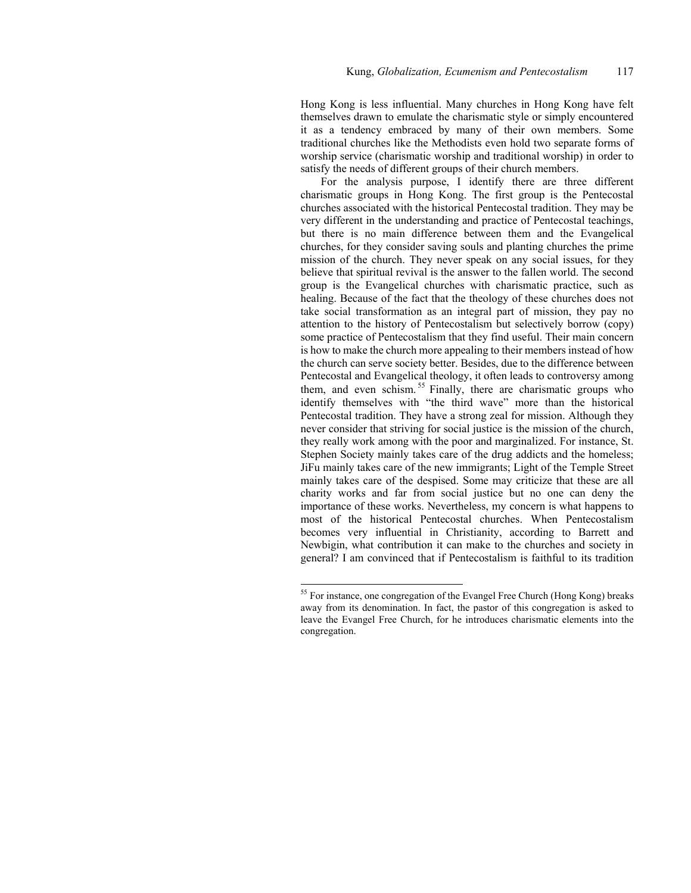Hong Kong is less influential. Many churches in Hong Kong have felt themselves drawn to emulate the charismatic style or simply encountered it as a tendency embraced by many of their own members. Some traditional churches like the Methodists even hold two separate forms of worship service (charismatic worship and traditional worship) in order to satisfy the needs of different groups of their church members.

For the analysis purpose, I identify there are three different charismatic groups in Hong Kong. The first group is the Pentecostal churches associated with the historical Pentecostal tradition. They may be very different in the understanding and practice of Pentecostal teachings, but there is no main difference between them and the Evangelical churches, for they consider saving souls and planting churches the prime mission of the church. They never speak on any social issues, for they believe that spiritual revival is the answer to the fallen world. The second group is the Evangelical churches with charismatic practice, such as healing. Because of the fact that the theology of these churches does not take social transformation as an integral part of mission, they pay no attention to the history of Pentecostalism but selectively borrow (copy) some practice of Pentecostalism that they find useful. Their main concern is how to make the church more appealing to their members instead of how the church can serve society better. Besides, due to the difference between Pentecostal and Evangelical theology, it often leads to controversy among them, and even schism.<sup>55</sup> Finally, there are charismatic groups who identify themselves with "the third wave" more than the historical Pentecostal tradition. They have a strong zeal for mission. Although they never consider that striving for social justice is the mission of the church, they really work among with the poor and marginalized. For instance, St. Stephen Society mainly takes care of the drug addicts and the homeless; JiFu mainly takes care of the new immigrants; Light of the Temple Street mainly takes care of the despised. Some may criticize that these are all charity works and far from social justice but no one can deny the importance of these works. Nevertheless, my concern is what happens to most of the historical Pentecostal churches. When Pentecostalism becomes very influential in Christianity, according to Barrett and Newbigin, what contribution it can make to the churches and society in general? I am convinced that if Pentecostalism is faithful to its tradition

<sup>&</sup>lt;sup>55</sup> For instance, one congregation of the Evangel Free Church (Hong Kong) breaks away from its denomination. In fact, the pastor of this congregation is asked to leave the Evangel Free Church, for he introduces charismatic elements into the congregation.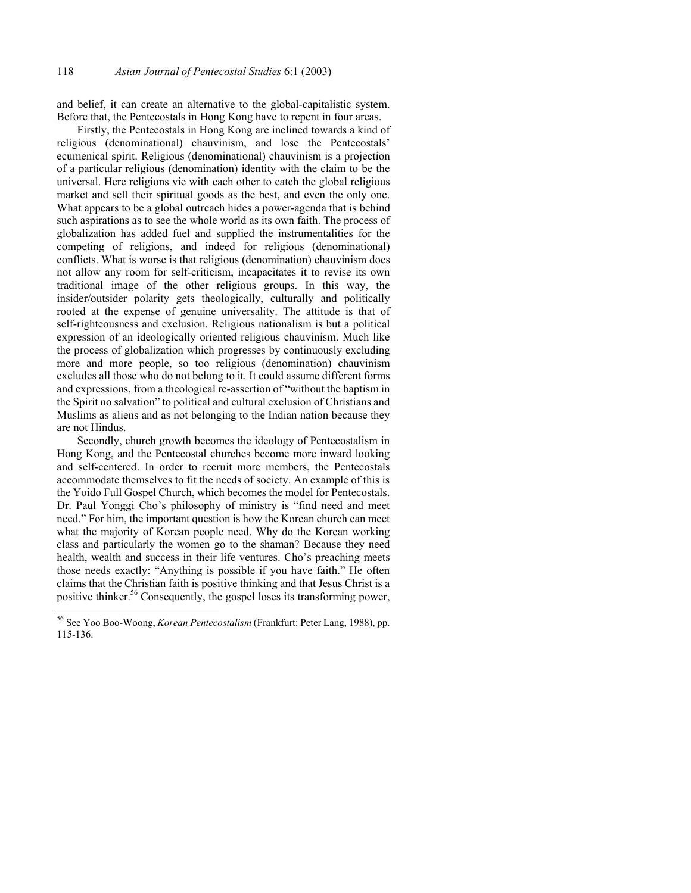and belief, it can create an alternative to the global-capitalistic system. Before that, the Pentecostals in Hong Kong have to repent in four areas.

Firstly, the Pentecostals in Hong Kong are inclined towards a kind of religious (denominational) chauvinism, and lose the Pentecostals' ecumenical spirit. Religious (denominational) chauvinism is a projection of a particular religious (denomination) identity with the claim to be the universal. Here religions vie with each other to catch the global religious market and sell their spiritual goods as the best, and even the only one. What appears to be a global outreach hides a power-agenda that is behind such aspirations as to see the whole world as its own faith. The process of globalization has added fuel and supplied the instrumentalities for the competing of religions, and indeed for religious (denominational) conflicts. What is worse is that religious (denomination) chauvinism does not allow any room for self-criticism, incapacitates it to revise its own traditional image of the other religious groups. In this way, the insider/outsider polarity gets theologically, culturally and politically rooted at the expense of genuine universality. The attitude is that of self-righteousness and exclusion. Religious nationalism is but a political expression of an ideologically oriented religious chauvinism. Much like the process of globalization which progresses by continuously excluding more and more people, so too religious (denomination) chauvinism excludes all those who do not belong to it. It could assume different forms and expressions, from a theological re-assertion of "without the baptism in the Spirit no salvation" to political and cultural exclusion of Christians and Muslims as aliens and as not belonging to the Indian nation because they are not Hindus.

Secondly, church growth becomes the ideology of Pentecostalism in Hong Kong, and the Pentecostal churches become more inward looking and self-centered. In order to recruit more members, the Pentecostals accommodate themselves to fit the needs of society. An example of this is the Yoido Full Gospel Church, which becomes the model for Pentecostals. Dr. Paul Yonggi Cho's philosophy of ministry is "find need and meet need." For him, the important question is how the Korean church can meet what the majority of Korean people need. Why do the Korean working class and particularly the women go to the shaman? Because they need health, wealth and success in their life ventures. Cho's preaching meets those needs exactly: "Anything is possible if you have faith." He often claims that the Christian faith is positive thinking and that Jesus Christ is a positive thinker.56 Consequently, the gospel loses its transforming power,

<sup>56</sup> See Yoo Boo-Woong, *Korean Pentecostalism* (Frankfurt: Peter Lang, 1988), pp. 115-136.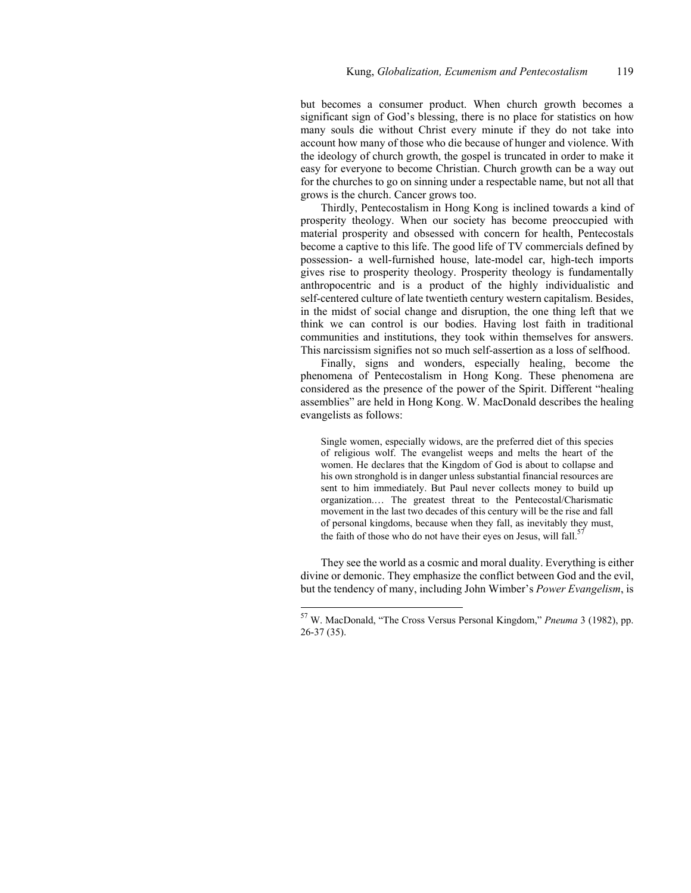but becomes a consumer product. When church growth becomes a significant sign of God's blessing, there is no place for statistics on how many souls die without Christ every minute if they do not take into account how many of those who die because of hunger and violence. With the ideology of church growth, the gospel is truncated in order to make it easy for everyone to become Christian. Church growth can be a way out for the churches to go on sinning under a respectable name, but not all that grows is the church. Cancer grows too.

Thirdly, Pentecostalism in Hong Kong is inclined towards a kind of prosperity theology. When our society has become preoccupied with material prosperity and obsessed with concern for health, Pentecostals become a captive to this life. The good life of TV commercials defined by possession- a well-furnished house, late-model car, high-tech imports gives rise to prosperity theology. Prosperity theology is fundamentally anthropocentric and is a product of the highly individualistic and self-centered culture of late twentieth century western capitalism. Besides, in the midst of social change and disruption, the one thing left that we think we can control is our bodies. Having lost faith in traditional communities and institutions, they took within themselves for answers. This narcissism signifies not so much self-assertion as a loss of selfhood.

Finally, signs and wonders, especially healing, become the phenomena of Pentecostalism in Hong Kong. These phenomena are considered as the presence of the power of the Spirit. Different "healing assemblies" are held in Hong Kong. W. MacDonald describes the healing evangelists as follows:

Single women, especially widows, are the preferred diet of this species of religious wolf. The evangelist weeps and melts the heart of the women. He declares that the Kingdom of God is about to collapse and his own stronghold is in danger unless substantial financial resources are sent to him immediately. But Paul never collects money to build up organization.… The greatest threat to the Pentecostal/Charismatic movement in the last two decades of this century will be the rise and fall of personal kingdoms, because when they fall, as inevitably they must, the faith of those who do not have their eyes on Jesus, will fall.<sup>57</sup>

They see the world as a cosmic and moral duality. Everything is either divine or demonic. They emphasize the conflict between God and the evil, but the tendency of many, including John Wimber's *Power Evangelism*, is

<sup>57</sup> W. MacDonald, "The Cross Versus Personal Kingdom," *Pneuma* 3 (1982), pp. 26-37 (35).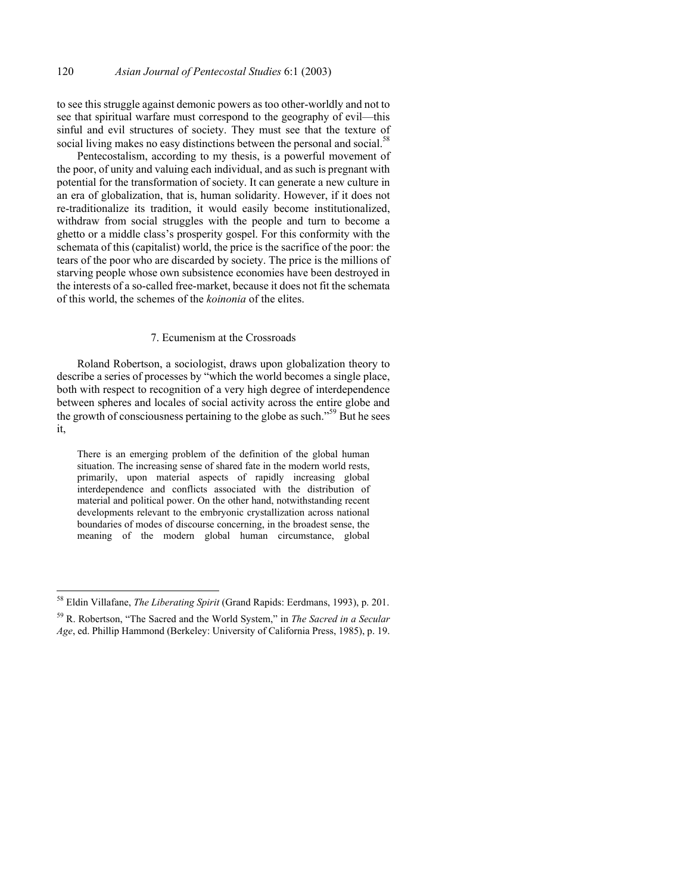to see this struggle against demonic powers as too other-worldly and not to see that spiritual warfare must correspond to the geography of evil—this sinful and evil structures of society. They must see that the texture of social living makes no easy distinctions between the personal and social.<sup>58</sup>

Pentecostalism, according to my thesis, is a powerful movement of the poor, of unity and valuing each individual, and as such is pregnant with potential for the transformation of society. It can generate a new culture in an era of globalization, that is, human solidarity. However, if it does not re-traditionalize its tradition, it would easily become institutionalized, withdraw from social struggles with the people and turn to become a ghetto or a middle class's prosperity gospel. For this conformity with the schemata of this (capitalist) world, the price is the sacrifice of the poor: the tears of the poor who are discarded by society. The price is the millions of starving people whose own subsistence economies have been destroyed in the interests of a so-called free-market, because it does not fit the schemata of this world, the schemes of the *koinonia* of the elites.

# 7. Ecumenism at the Crossroads

Roland Robertson, a sociologist, draws upon globalization theory to describe a series of processes by "which the world becomes a single place, both with respect to recognition of a very high degree of interdependence between spheres and locales of social activity across the entire globe and the growth of consciousness pertaining to the globe as such."<sup>59</sup> But he sees it,

There is an emerging problem of the definition of the global human situation. The increasing sense of shared fate in the modern world rests, primarily, upon material aspects of rapidly increasing global interdependence and conflicts associated with the distribution of material and political power. On the other hand, notwithstanding recent developments relevant to the embryonic crystallization across national boundaries of modes of discourse concerning, in the broadest sense, the meaning of the modern global human circumstance, global

<sup>58</sup> Eldin Villafane, *The Liberating Spirit* (Grand Rapids: Eerdmans, 1993), p. 201.

<sup>59</sup> R. Robertson, "The Sacred and the World System," in *The Sacred in a Secular Age*, ed. Phillip Hammond (Berkeley: University of California Press, 1985), p. 19.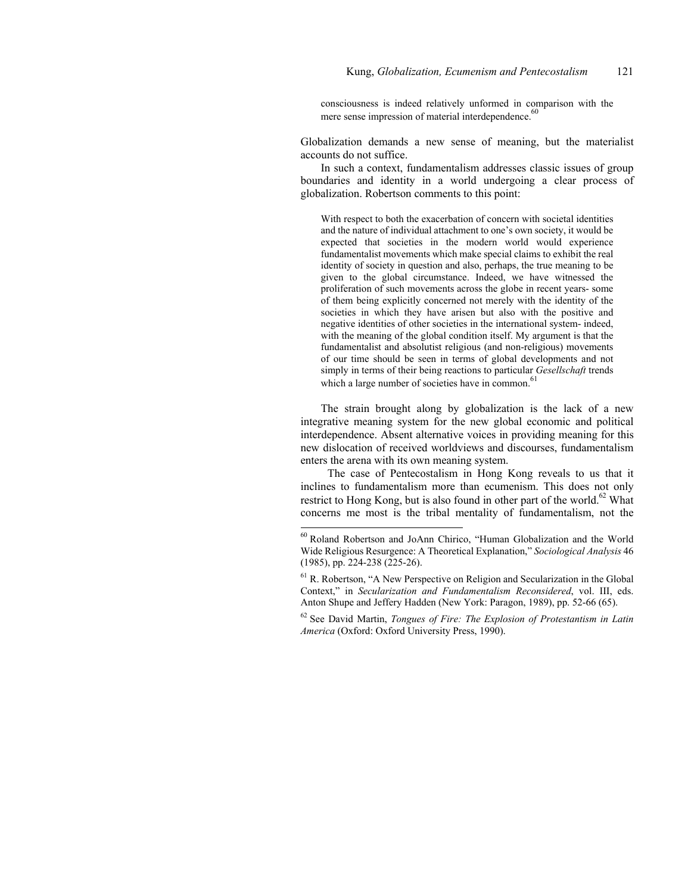consciousness is indeed relatively unformed in comparison with the mere sense impression of material interdependence.<sup>60</sup>

Globalization demands a new sense of meaning, but the materialist accounts do not suffice.

In such a context, fundamentalism addresses classic issues of group boundaries and identity in a world undergoing a clear process of globalization. Robertson comments to this point:

With respect to both the exacerbation of concern with societal identities and the nature of individual attachment to one's own society, it would be expected that societies in the modern world would experience fundamentalist movements which make special claims to exhibit the real identity of society in question and also, perhaps, the true meaning to be given to the global circumstance. Indeed, we have witnessed the proliferation of such movements across the globe in recent years- some of them being explicitly concerned not merely with the identity of the societies in which they have arisen but also with the positive and negative identities of other societies in the international system- indeed, with the meaning of the global condition itself. My argument is that the fundamentalist and absolutist religious (and non-religious) movements of our time should be seen in terms of global developments and not simply in terms of their being reactions to particular *Gesellschaft* trends which a large number of societies have in common. $61$ 

The strain brought along by globalization is the lack of a new integrative meaning system for the new global economic and political interdependence. Absent alternative voices in providing meaning for this new dislocation of received worldviews and discourses, fundamentalism enters the arena with its own meaning system.

 The case of Pentecostalism in Hong Kong reveals to us that it inclines to fundamentalism more than ecumenism. This does not only restrict to Hong Kong, but is also found in other part of the world.<sup>62</sup> What concerns me most is the tribal mentality of fundamentalism, not the

<sup>60</sup> Roland Robertson and JoAnn Chirico, "Human Globalization and the World Wide Religious Resurgence: A Theoretical Explanation," *Sociological Analysis* 46 (1985), pp. 224-238 (225-26).

 $<sup>61</sup>$  R. Robertson, "A New Perspective on Religion and Secularization in the Global</sup> Context," in *Secularization and Fundamentalism Reconsidered*, vol. III, eds. Anton Shupe and Jeffery Hadden (New York: Paragon, 1989), pp. 52-66 (65).

<sup>62</sup> See David Martin, *Tongues of Fire: The Explosion of Protestantism in Latin America* (Oxford: Oxford University Press, 1990).